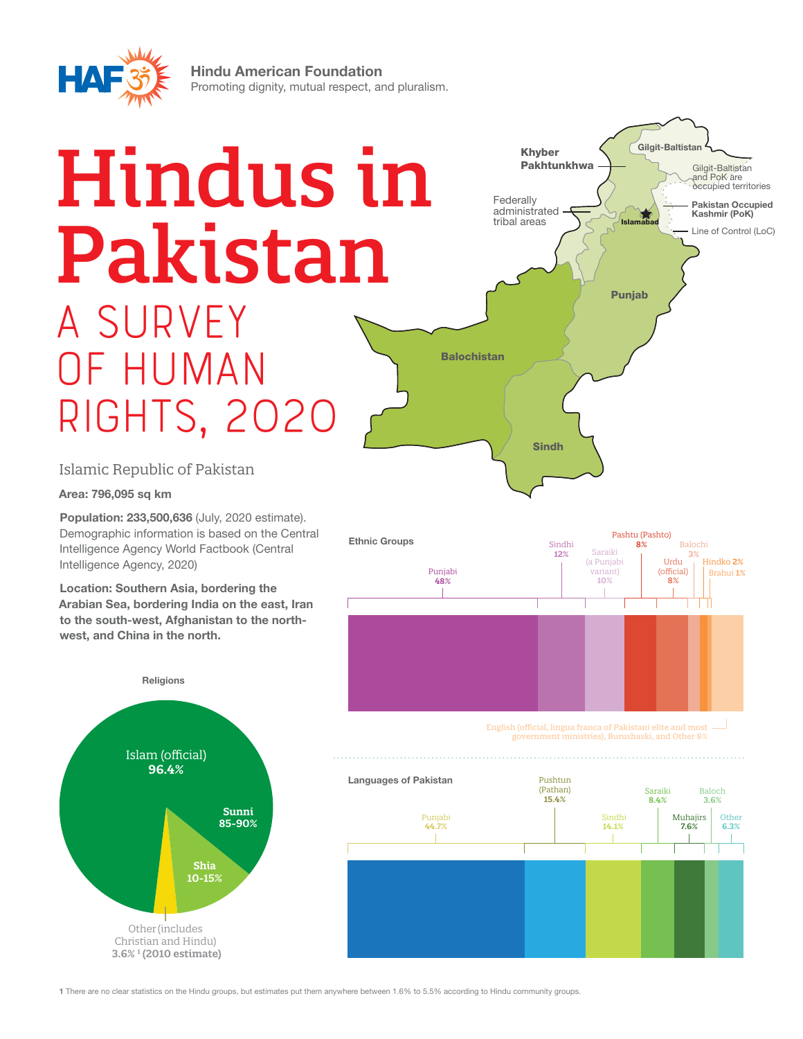

Hindu American Foundation Promoting dignity, mutual respect, and pluralism.

# Hindus in Pakistan A survey of Human Rights, 2020



Islamic Republic of Pakistan

Area: 796,095 sq km

Population: 233,500,636 (July, 2020 estimate). Demographic information is based on the Central Intelligence Agency World Factbook (Central Intelligence Agency, 2020)

Location: Southern Asia, bordering the Arabian Sea, bordering India on the east, Iran to the south-west, Afghanistan to the northwest, and China in the north.







1 There are no clear statistics on the Hindu groups, but estimates put them anywhere between 1.6% to 5.5% according to Hindu community groups.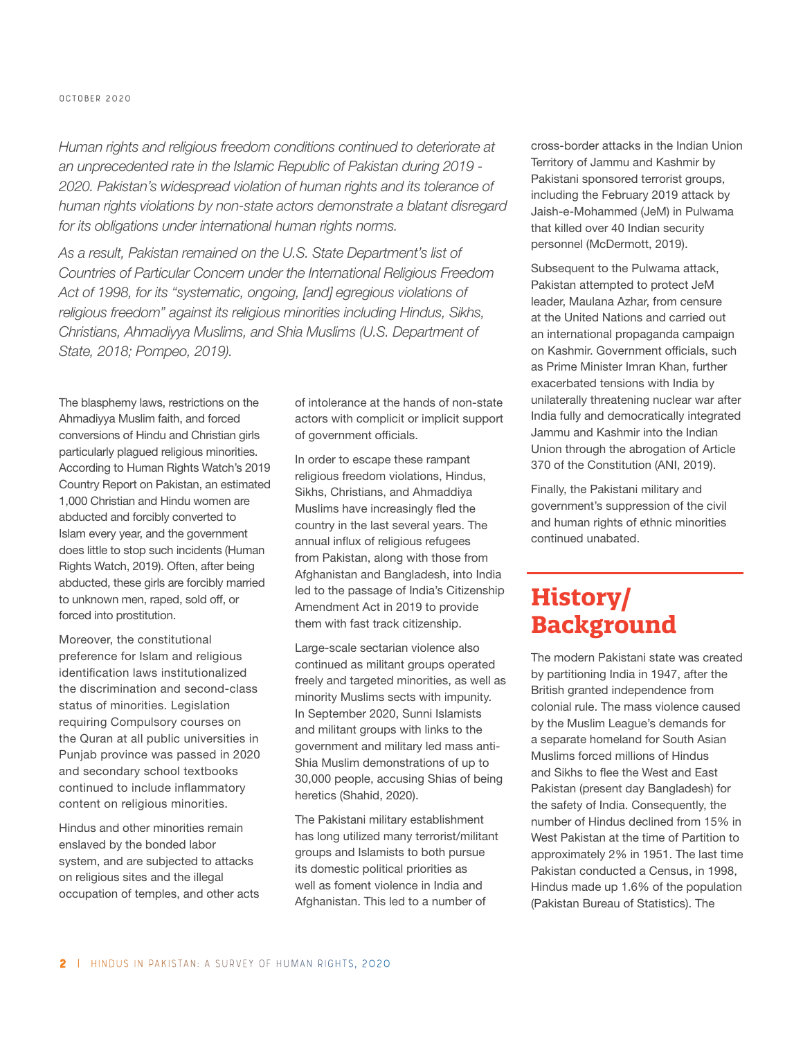*Human rights and religious freedom conditions continued to deteriorate at an unprecedented rate in the Islamic Republic of Pakistan during 2019 - 2020. Pakistan's widespread violation of human rights and its tolerance of human rights violations by non-state actors demonstrate a blatant disregard for its obligations under international human rights norms.*

*As a result, Pakistan remained on the U.S. State Department's list of Countries of Particular Concern under the International Religious Freedom Act of 1998, for its "systematic, ongoing, [and] egregious violations of religious freedom" against its religious minorities including Hindus, Sikhs, Christians, Ahmadiyya Muslims, and Shia Muslims (U.S. Department of State, 2018; Pompeo, 2019).*

The blasphemy laws, restrictions on the Ahmadiyya Muslim faith, and forced conversions of Hindu and Christian girls particularly plagued religious minorities. According to Human Rights Watch's 2019 Country Report on Pakistan, an estimated 1,000 Christian and Hindu women are abducted and forcibly converted to Islam every year, and the government does little to stop such incidents (Human Rights Watch, 2019). Often, after being abducted, these girls are forcibly married to unknown men, raped, sold off, or forced into prostitution.

Moreover, the constitutional preference for Islam and religious identification laws institutionalized the discrimination and second-class status of minorities. Legislation requiring Compulsory courses on the Quran at all public universities in Punjab province was passed in 2020 and secondary school textbooks continued to include inflammatory content on religious minorities.

Hindus and other minorities remain enslaved by the bonded labor system, and are subjected to attacks on religious sites and the illegal occupation of temples, and other acts of intolerance at the hands of non-state actors with complicit or implicit support of government officials.

In order to escape these rampant religious freedom violations, Hindus, Sikhs, Christians, and Ahmaddiya Muslims have increasingly fled the country in the last several years. The annual influx of religious refugees from Pakistan, along with those from Afghanistan and Bangladesh, into India led to the passage of India's Citizenship Amendment Act in 2019 to provide them with fast track citizenship.

Large-scale sectarian violence also continued as militant groups operated freely and targeted minorities, as well as minority Muslims sects with impunity. In September 2020, Sunni Islamists and militant groups with links to the government and military led mass anti-Shia Muslim demonstrations of up to 30,000 people, accusing Shias of being heretics (Shahid, 2020).

The Pakistani military establishment has long utilized many terrorist/militant groups and Islamists to both pursue its domestic political priorities as well as foment violence in India and Afghanistan. This led to a number of

cross-border attacks in the Indian Union Territory of Jammu and Kashmir by Pakistani sponsored terrorist groups, including the February 2019 attack by Jaish-e-Mohammed (JeM) in Pulwama that killed over 40 Indian security personnel (McDermott, 2019).

Subsequent to the Pulwama attack, Pakistan attempted to protect JeM leader, Maulana Azhar, from censure at the United Nations and carried out an international propaganda campaign on Kashmir. Government officials, such as Prime Minister Imran Khan, further exacerbated tensions with India by unilaterally threatening nuclear war after India fully and democratically integrated Jammu and Kashmir into the Indian Union through the abrogation of Article 370 of the Constitution (ANI, 2019).

Finally, the Pakistani military and government's suppression of the civil and human rights of ethnic minorities continued unabated.

# **History/ Background**

The modern Pakistani state was created by partitioning India in 1947, after the British granted independence from colonial rule. The mass violence caused by the Muslim League's demands for a separate homeland for South Asian Muslims forced millions of Hindus and Sikhs to flee the West and East Pakistan (present day Bangladesh) for the safety of India. Consequently, the number of Hindus declined from 15% in West Pakistan at the time of Partition to approximately 2% in 1951. The last time Pakistan conducted a Census, in 1998, Hindus made up 1.6% of the population (Pakistan Bureau of Statistics). The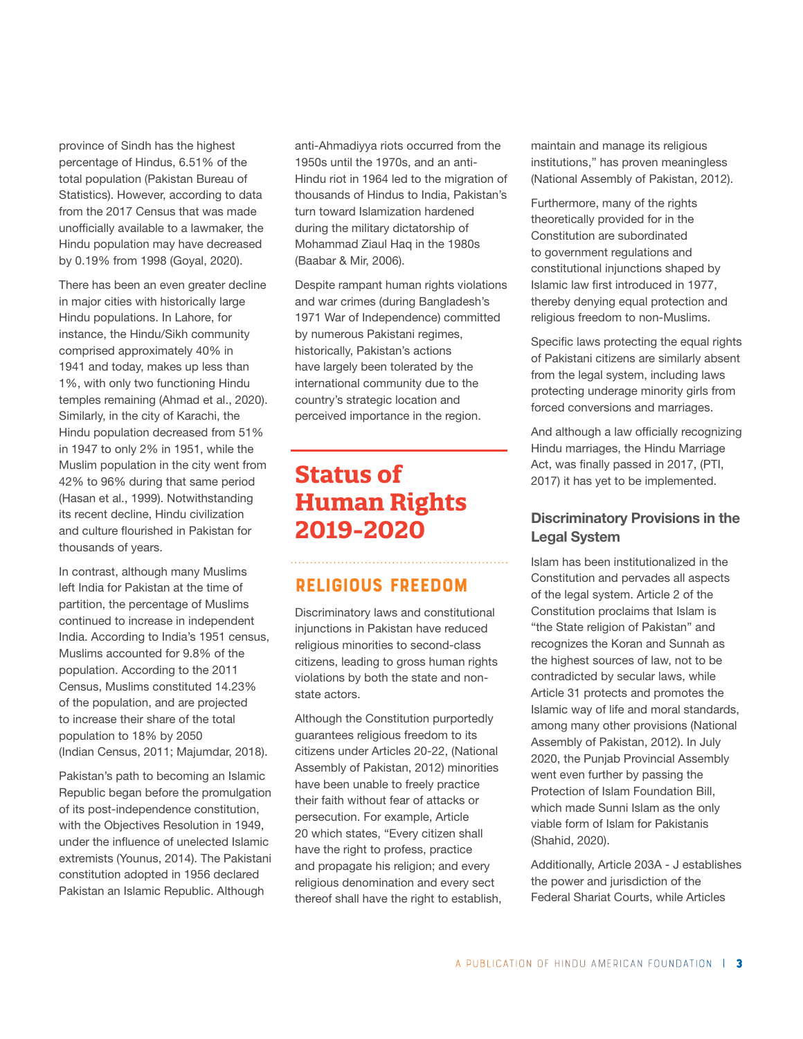province of Sindh has the highest percentage of Hindus, 6.51% of the total population (Pakistan Bureau of Statistics). However, according to data from the 2017 Census that was made unofficially available to a lawmaker, the Hindu population may have decreased by 0.19% from 1998 (Goyal, 2020).

There has been an even greater decline in major cities with historically large Hindu populations. In Lahore, for instance, the Hindu/Sikh community comprised approximately 40% in 1941 and today, makes up less than 1%, with only two functioning Hindu temples remaining (Ahmad et al., 2020). Similarly, in the city of Karachi, the Hindu population decreased from 51% in 1947 to only 2% in 1951, while the Muslim population in the city went from 42% to 96% during that same period (Hasan et al., 1999). Notwithstanding its recent decline, Hindu civilization and culture flourished in Pakistan for thousands of years.

In contrast, although many Muslims left India for Pakistan at the time of partition, the percentage of Muslims continued to increase in independent India. According to India's 1951 census, Muslims accounted for 9.8% of the population. According to the 2011 Census, Muslims constituted 14.23% of the population, and are projected to increase their share of the total population to 18% by 2050 (Indian Census, 2011; Majumdar, 2018).

Pakistan's path to becoming an Islamic Republic began before the promulgation of its post-independence constitution, with the Objectives Resolution in 1949, under the influence of unelected Islamic extremists (Younus, 2014). The Pakistani constitution adopted in 1956 declared Pakistan an Islamic Republic. Although

anti-Ahmadiyya riots occurred from the 1950s until the 1970s, and an anti-Hindu riot in 1964 led to the migration of thousands of Hindus to India, Pakistan's turn toward Islamization hardened during the military dictatorship of Mohammad Ziaul Haq in the 1980s (Baabar & Mir, 2006).

Despite rampant human rights violations and war crimes (during Bangladesh's 1971 War of Independence) committed by numerous Pakistani regimes, historically, Pakistan's actions have largely been tolerated by the international community due to the country's strategic location and perceived importance in the region.

# **Status of Human Rights 2019-2020**

### Religious Freedom

Discriminatory laws and constitutional injunctions in Pakistan have reduced religious minorities to second-class citizens, leading to gross human rights violations by both the state and nonstate actors.

Although the Constitution purportedly guarantees religious freedom to its citizens under Articles 20-22, (National Assembly of Pakistan, 2012) minorities have been unable to freely practice their faith without fear of attacks or persecution. For example, Article 20 which states, "Every citizen shall have the right to profess, practice and propagate his religion; and every religious denomination and every sect thereof shall have the right to establish, maintain and manage its religious institutions," has proven meaningless (National Assembly of Pakistan, 2012).

Furthermore, many of the rights theoretically provided for in the Constitution are subordinated to government regulations and constitutional injunctions shaped by Islamic law first introduced in 1977, thereby denying equal protection and religious freedom to non-Muslims.

Specific laws protecting the equal rights of Pakistani citizens are similarly absent from the legal system, including laws protecting underage minority girls from forced conversions and marriages.

And although a law officially recognizing Hindu marriages, the Hindu Marriage Act, was finally passed in 2017, (PTI, 2017) it has yet to be implemented.

#### Discriminatory Provisions in the Legal System

Islam has been institutionalized in the Constitution and pervades all aspects of the legal system. Article 2 of the Constitution proclaims that Islam is "the State religion of Pakistan" and recognizes the Koran and Sunnah as the highest sources of law, not to be contradicted by secular laws, while Article 31 protects and promotes the Islamic way of life and moral standards, among many other provisions (National Assembly of Pakistan, 2012). In July 2020, the Punjab Provincial Assembly went even further by passing the Protection of Islam Foundation Bill, which made Sunni Islam as the only viable form of Islam for Pakistanis (Shahid, 2020).

Additionally, Article 203A - J establishes the power and jurisdiction of the Federal Shariat Courts, while Articles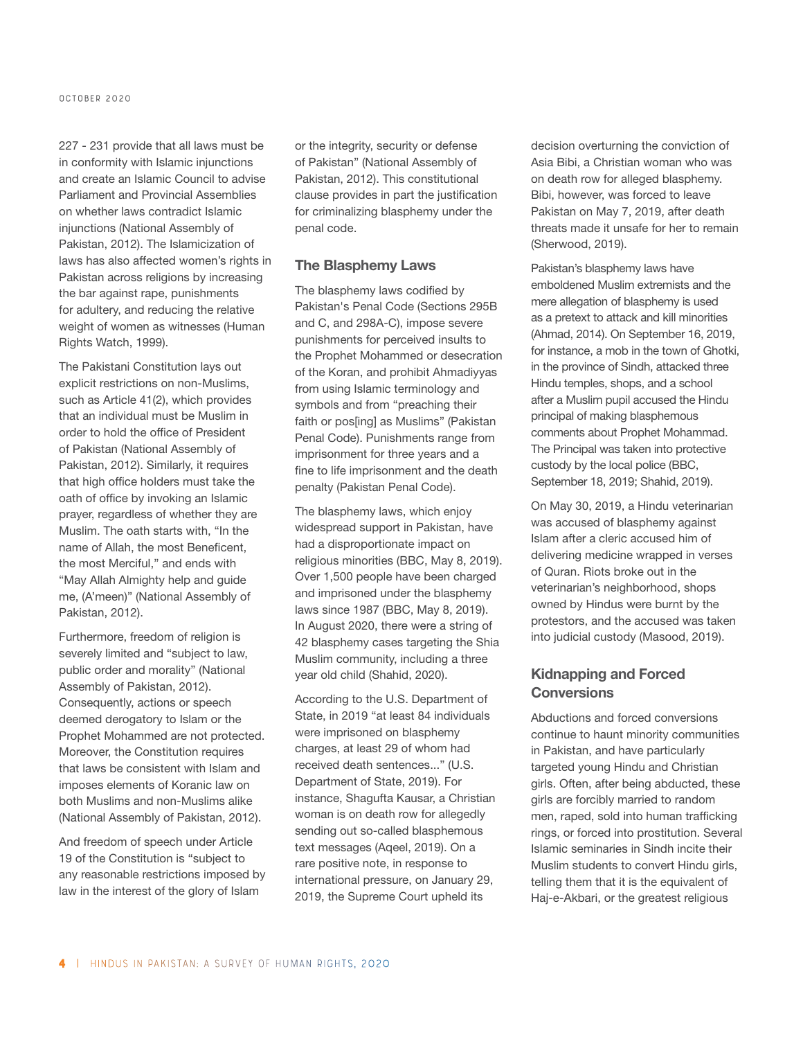227 - 231 provide that all laws must be in conformity with Islamic injunctions and create an Islamic Council to advise Parliament and Provincial Assemblies on whether laws contradict Islamic injunctions (National Assembly of Pakistan, 2012). The Islamicization of laws has also affected women's rights in Pakistan across religions by increasing the bar against rape, punishments for adultery, and reducing the relative weight of women as witnesses (Human Rights Watch, 1999).

The Pakistani Constitution lays out explicit restrictions on non-Muslims, such as Article 41(2), which provides that an individual must be Muslim in order to hold the office of President of Pakistan (National Assembly of Pakistan, 2012). Similarly, it requires that high office holders must take the oath of office by invoking an Islamic prayer, regardless of whether they are Muslim. The oath starts with, "In the name of Allah, the most Beneficent, the most Merciful," and ends with "May Allah Almighty help and guide me, (A'meen)" (National Assembly of Pakistan, 2012).

Furthermore, freedom of religion is severely limited and "subject to law, public order and morality" (National Assembly of Pakistan, 2012). Consequently, actions or speech deemed derogatory to Islam or the Prophet Mohammed are not protected. Moreover, the Constitution requires that laws be consistent with Islam and imposes elements of Koranic law on both Muslims and non-Muslims alike (National Assembly of Pakistan, 2012).

And freedom of speech under Article 19 of the Constitution is "subject to any reasonable restrictions imposed by law in the interest of the glory of Islam

or the integrity, security or defense of Pakistan" (National Assembly of Pakistan, 2012). This constitutional clause provides in part the justification for criminalizing blasphemy under the penal code.

#### The Blasphemy Laws

The blasphemy laws codified by Pakistan's Penal Code (Sections 295B and C, and 298A-C), impose severe punishments for perceived insults to the Prophet Mohammed or desecration of the Koran, and prohibit Ahmadiyyas from using Islamic terminology and symbols and from "preaching their faith or pos[ing] as Muslims" (Pakistan Penal Code). Punishments range from imprisonment for three years and a fine to life imprisonment and the death penalty (Pakistan Penal Code).

The blasphemy laws, which enjoy widespread support in Pakistan, have had a disproportionate impact on religious minorities (BBC, May 8, 2019). Over 1,500 people have been charged and imprisoned under the blasphemy laws since 1987 (BBC, May 8, 2019). In August 2020, there were a string of 42 blasphemy cases targeting the Shia Muslim community, including a three year old child (Shahid, 2020).

According to the U.S. Department of State, in 2019 "at least 84 individuals were imprisoned on blasphemy charges, at least 29 of whom had received death sentences..." (U.S. Department of State, 2019). For instance, Shagufta Kausar, a Christian woman is on death row for allegedly sending out so-called blasphemous text messages (Aqeel, 2019). On a rare positive note, in response to international pressure, on January 29, 2019, the Supreme Court upheld its

decision overturning the conviction of Asia Bibi, a Christian woman who was on death row for alleged blasphemy. Bibi, however, was forced to leave Pakistan on May 7, 2019, after death threats made it unsafe for her to remain (Sherwood, 2019).

Pakistan's blasphemy laws have emboldened Muslim extremists and the mere allegation of blasphemy is used as a pretext to attack and kill minorities (Ahmad, 2014). On September 16, 2019, for instance, a mob in the town of Ghotki, in the province of Sindh, attacked three Hindu temples, shops, and a school after a Muslim pupil accused the Hindu principal of making blasphemous comments about Prophet Mohammad. The Principal was taken into protective custody by the local police (BBC, September 18, 2019; Shahid, 2019).

On May 30, 2019, a Hindu veterinarian was accused of blasphemy against Islam after a cleric accused him of delivering medicine wrapped in verses of Quran. Riots broke out in the veterinarian's neighborhood, shops owned by Hindus were burnt by the protestors, and the accused was taken into judicial custody (Masood, 2019).

#### Kidnapping and Forced **Conversions**

Abductions and forced conversions continue to haunt minority communities in Pakistan, and have particularly targeted young Hindu and Christian girls. Often, after being abducted, these girls are forcibly married to random men, raped, sold into human trafficking rings, or forced into prostitution. Several Islamic seminaries in Sindh incite their Muslim students to convert Hindu girls, telling them that it is the equivalent of Haj-e-Akbari, or the greatest religious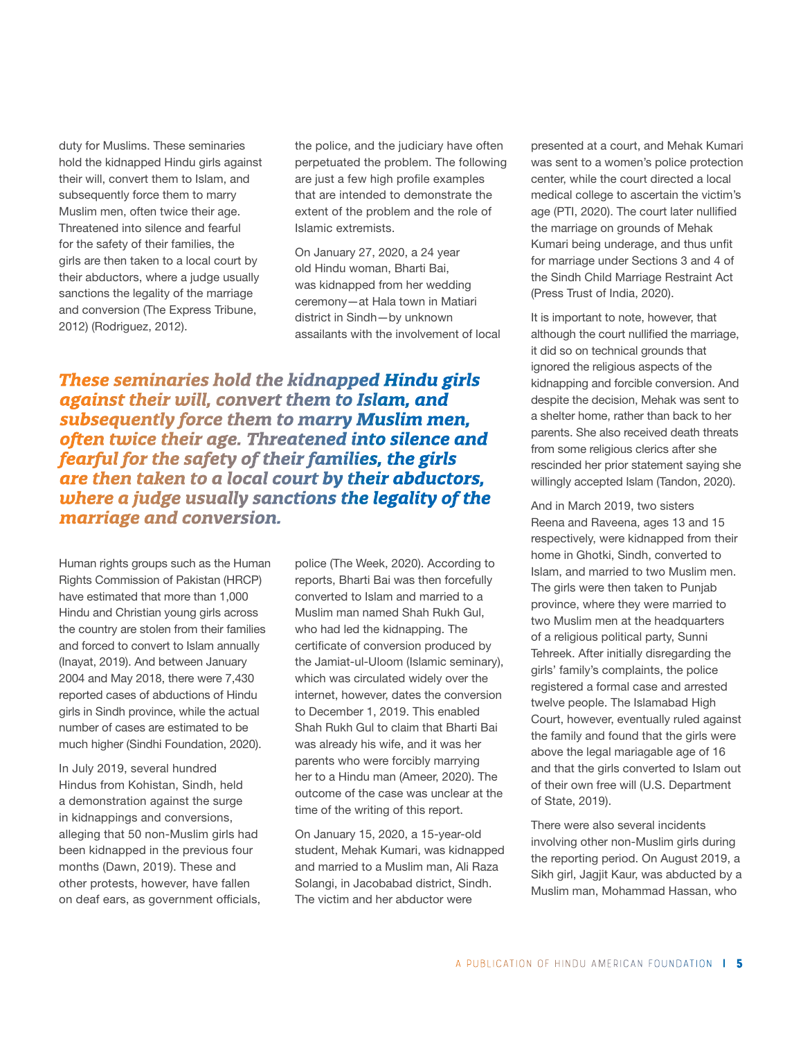duty for Muslims. These seminaries hold the kidnapped Hindu girls against their will, convert them to Islam, and subsequently force them to marry Muslim men, often twice their age. Threatened into silence and fearful for the safety of their families, the girls are then taken to a local court by their abductors, where a judge usually sanctions the legality of the marriage and conversion (The Express Tribune, 2012) (Rodriguez, 2012).

the police, and the judiciary have often perpetuated the problem. The following are just a few high profile examples that are intended to demonstrate the extent of the problem and the role of Islamic extremists.

On January 27, 2020, a 24 year old Hindu woman, Bharti Bai, was kidnapped from her wedding ceremony—at Hala town in Matiari district in Sindh—by unknown assailants with the involvement of local

*These seminaries hold the kidnapped Hindu girls against their will, convert them to Islam, and subsequently force them to marry Muslim men, often twice their age. Threatened into silence and fearful for the safety of their families, the girls are then taken to a local court by their abductors, where a judge usually sanctions the legality of the marriage and conversion.*

Human rights groups such as the Human Rights Commission of Pakistan (HRCP) have estimated that more than 1,000 Hindu and Christian young girls across the country are stolen from their families and forced to convert to Islam annually (Inayat, 2019). And between January 2004 and May 2018, there were 7,430 reported cases of abductions of Hindu girls in Sindh province, while the actual number of cases are estimated to be much higher (Sindhi Foundation, 2020).

In July 2019, several hundred Hindus from Kohistan, Sindh, held a demonstration against the surge in kidnappings and conversions, alleging that 50 non-Muslim girls had been kidnapped in the previous four months (Dawn, 2019). These and other protests, however, have fallen on deaf ears, as government officials, police (The Week, 2020). According to reports, Bharti Bai was then forcefully converted to Islam and married to a Muslim man named Shah Rukh Gul, who had led the kidnapping. The certificate of conversion produced by the Jamiat-ul-Uloom (Islamic seminary), which was circulated widely over the internet, however, dates the conversion to December 1, 2019. This enabled Shah Rukh Gul to claim that Bharti Bai was already his wife, and it was her parents who were forcibly marrying her to a Hindu man (Ameer, 2020). The outcome of the case was unclear at the time of the writing of this report.

On January 15, 2020, a 15-year-old student, Mehak Kumari, was kidnapped and married to a Muslim man, Ali Raza Solangi, in Jacobabad district, Sindh. The victim and her abductor were

presented at a court, and Mehak Kumari was sent to a women's police protection center, while the court directed a local medical college to ascertain the victim's age (PTI, 2020). The court later nullified the marriage on grounds of Mehak Kumari being underage, and thus unfit for marriage under Sections 3 and 4 of the Sindh Child Marriage Restraint Act (Press Trust of India, 2020).

It is important to note, however, that although the court nullified the marriage, it did so on technical grounds that ignored the religious aspects of the kidnapping and forcible conversion. And despite the decision, Mehak was sent to a shelter home, rather than back to her parents. She also received death threats from some religious clerics after she rescinded her prior statement saying she willingly accepted Islam (Tandon, 2020).

And in March 2019, two sisters Reena and Raveena, ages 13 and 15 respectively, were kidnapped from their home in Ghotki, Sindh, converted to Islam, and married to two Muslim men. The girls were then taken to Punjab province, where they were married to two Muslim men at the headquarters of a religious political party, Sunni Tehreek. After initially disregarding the girls' family's complaints, the police registered a formal case and arrested twelve people. The Islamabad High Court, however, eventually ruled against the family and found that the girls were above the legal mariagable age of 16 and that the girls converted to Islam out of their own free will (U.S. Department of State, 2019).

There were also several incidents involving other non-Muslim girls during the reporting period. On August 2019, a Sikh girl, Jagjit Kaur, was abducted by a Muslim man, Mohammad Hassan, who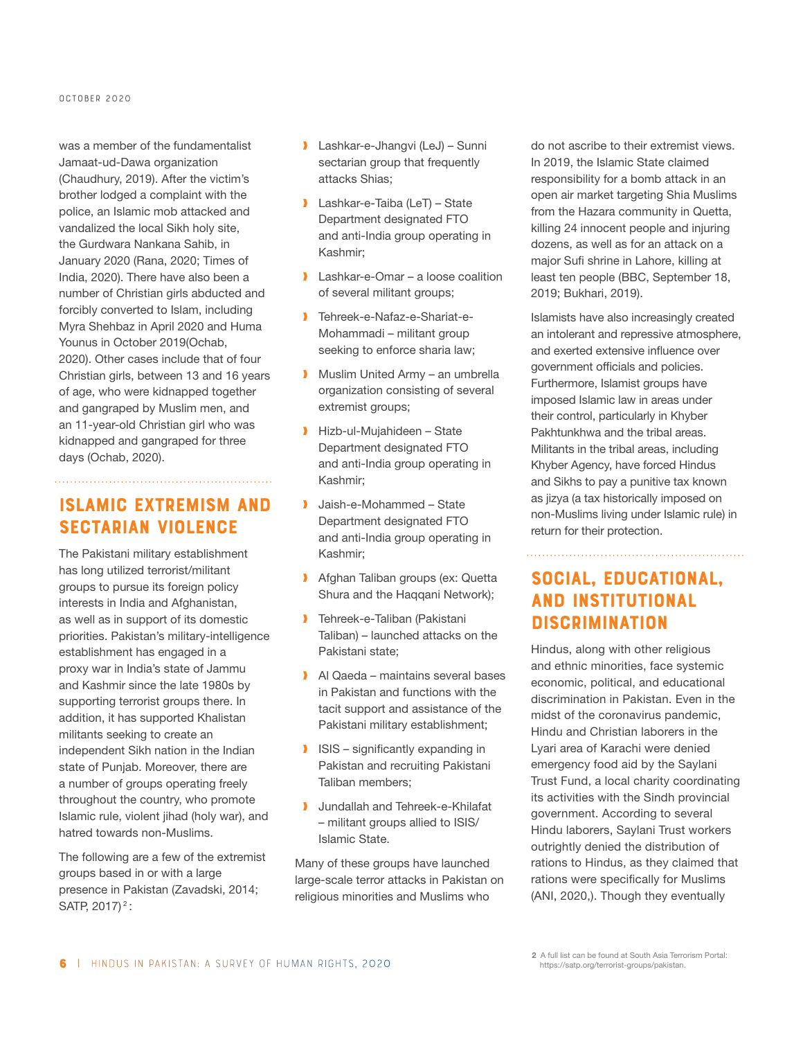#### **October 2020**

was a member of the fundamentalist Jamaat-ud-Dawa organization (Chaudhury, 2019). After the victim's brother lodged a complaint with the police, an Islamic mob attacked and vandalized the local Sikh holy site, the Gurdwara Nankana Sahib, in January 2020 (Rana, 2020; Times of India, 2020). There have also been a number of Christian girls abducted and forcibly converted to Islam, including Myra Shehbaz in April 2020 and Huma Younus in October 2019(Ochab, 2020). Other cases include that of four Christian girls, between 13 and 16 years of age, who were kidnapped together and gangraped by Muslim men, and an 11-year-old Christian girl who was kidnapped and gangraped for three days (Ochab, 2020).

## Islamic Extremism and Sectarian Violence

. . . . . . . . . . . . . . . . .

The Pakistani military establishment has long utilized terrorist/militant groups to pursue its foreign policy interests in India and Afghanistan, as well as in support of its domestic priorities. Pakistan's military-intelligence establishment has engaged in a proxy war in India's state of Jammu and Kashmir since the late 1980s by supporting terrorist groups there. In addition, it has supported Khalistan militants seeking to create an independent Sikh nation in the Indian state of Punjab. Moreover, there are a number of groups operating freely throughout the country, who promote Islamic rule, violent jihad (holy war), and hatred towards non-Muslims.

The following are a few of the extremist groups based in or with a large presence in Pakistan (Zavadski, 2014; SATP, 2017)<sup>2</sup>:

- ❱ Lashkar-e-Jhangvi (LeJ) Sunni sectarian group that frequently attacks Shias;
- **I** Lashkar-e-Taiba (LeT) State Department designated FTO and anti-India group operating in Kashmir;
- **I** Lashkar-e-Omar a loose coalition of several militant groups;
- ❱ Tehreek-e-Nafaz-e-Shariat-e-Mohammadi – militant group seeking to enforce sharia law;
- **Muslim United Army an umbrella** organization consisting of several extremist groups;
- ❱ Hizb-ul-Mujahideen State Department designated FTO and anti-India group operating in Kashmir;
- **Jaish-e-Mohammed State** Department designated FTO and anti-India group operating in Kashmir;
- **I** Afghan Taliban groups (ex: Quetta Shura and the Haqqani Network);
- **Tehreek-e-Taliban (Pakistani** Taliban) – launched attacks on the Pakistani state;
- Al Qaeda maintains several bases in Pakistan and functions with the tacit support and assistance of the Pakistani military establishment;
- **ISIS** significantly expanding in Pakistan and recruiting Pakistani Taliban members;
- **I** Jundallah and Tehreek-e-Khilafat – militant groups allied to ISIS/ Islamic State.

Many of these groups have launched large-scale terror attacks in Pakistan on religious minorities and Muslims who

do not ascribe to their extremist views. In 2019, the Islamic State claimed responsibility for a bomb attack in an open air market targeting Shia Muslims from the Hazara community in Quetta, killing 24 innocent people and injuring dozens, as well as for an attack on a major Sufi shrine in Lahore, killing at least ten people (BBC, September 18, 2019; Bukhari, 2019).

Islamists have also increasingly created an intolerant and repressive atmosphere, and exerted extensive influence over government officials and policies. Furthermore, Islamist groups have imposed Islamic law in areas under their control, particularly in Khyber Pakhtunkhwa and the tribal areas. Militants in the tribal areas, including Khyber Agency, have forced Hindus and Sikhs to pay a punitive tax known as jizya (a tax historically imposed on non-Muslims living under Islamic rule) in return for their protection.

Social, Educational,

## and Institutional Discrimination

Hindus, along with other religious and ethnic minorities, face systemic economic, political, and educational discrimination in Pakistan. Even in the midst of the coronavirus pandemic, Hindu and Christian laborers in the Lyari area of Karachi were denied emergency food aid by the Saylani Trust Fund, a local charity coordinating its activities with the Sindh provincial government. According to several Hindu laborers, Saylani Trust workers outrightly denied the distribution of rations to Hindus, as they claimed that rations were specifically for Muslims (ANI, 2020,). Though they eventually

2 A full list can be found at South Asia Terrorism Portal: https://satp.org/terrorist-groups/pakistan.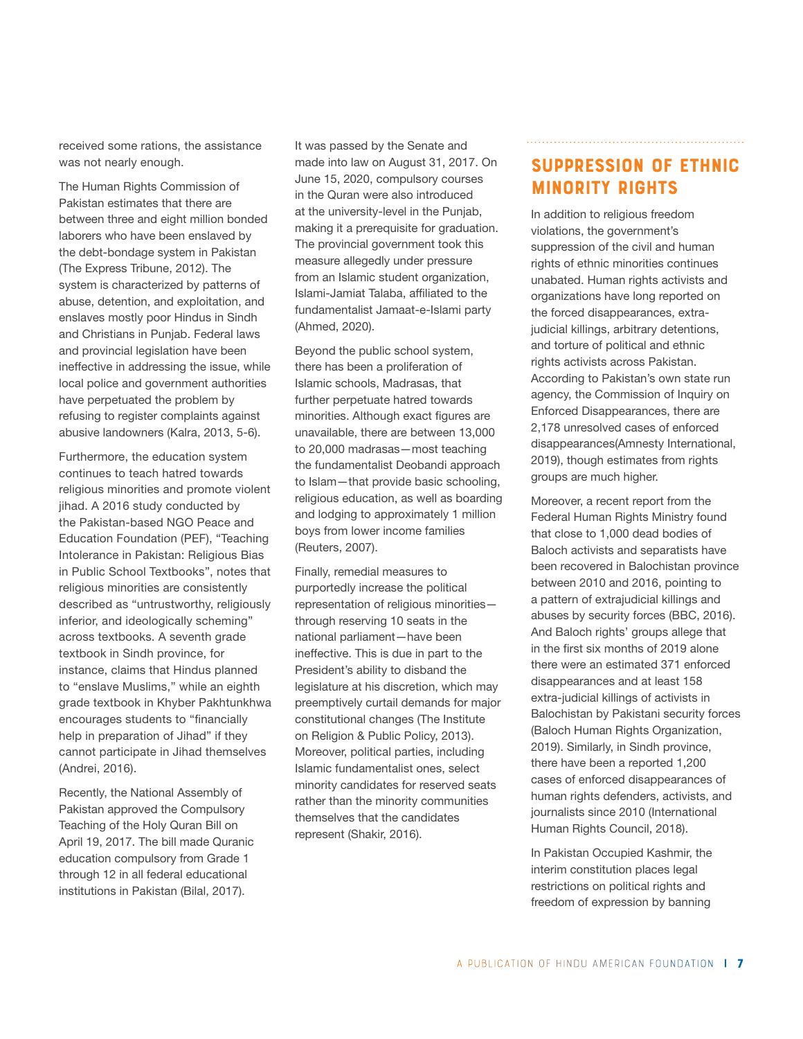received some rations, the assistance was not nearly enough.

The Human Rights Commission of Pakistan estimates that there are between three and eight million bonded laborers who have been enslaved by the debt-bondage system in Pakistan (The Express Tribune, 2012). The system is characterized by patterns of abuse, detention, and exploitation, and enslaves mostly poor Hindus in Sindh and Christians in Punjab. Federal laws and provincial legislation have been ineffective in addressing the issue, while local police and government authorities have perpetuated the problem by refusing to register complaints against abusive landowners (Kalra, 2013, 5-6).

Furthermore, the education system continues to teach hatred towards religious minorities and promote violent jihad. A 2016 study conducted by the Pakistan-based NGO Peace and Education Foundation (PEF), "Teaching Intolerance in Pakistan: Religious Bias in Public School Textbooks", notes that religious minorities are consistently described as "untrustworthy, religiously inferior, and ideologically scheming" across textbooks. A seventh grade textbook in Sindh province, for instance, claims that Hindus planned to "enslave Muslims," while an eighth grade textbook in Khyber Pakhtunkhwa encourages students to "financially help in preparation of Jihad" if they cannot participate in Jihad themselves (Andrei, 2016).

Recently, the National Assembly of Pakistan approved the Compulsory Teaching of the Holy Quran Bill on April 19, 2017. The bill made Quranic education compulsory from Grade 1 through 12 in all federal educational institutions in Pakistan (Bilal, 2017).

It was passed by the Senate and made into law on August 31, 2017. On June 15, 2020, compulsory courses in the Quran were also introduced at the university-level in the Punjab, making it a prerequisite for graduation. The provincial government took this measure allegedly under pressure from an Islamic student organization, Islami-Jamiat Talaba, affiliated to the fundamentalist Jamaat-e-Islami party (Ahmed, 2020).

Beyond the public school system, there has been a proliferation of Islamic schools, Madrasas, that further perpetuate hatred towards minorities. Although exact figures are unavailable, there are between 13,000 to 20,000 madrasas—most teaching the fundamentalist Deobandi approach to Islam—that provide basic schooling, religious education, as well as boarding and lodging to approximately 1 million boys from lower income families (Reuters, 2007).

Finally, remedial measures to purportedly increase the political representation of religious minorities through reserving 10 seats in the national parliament—have been ineffective. This is due in part to the President's ability to disband the legislature at his discretion, which may preemptively curtail demands for major constitutional changes (The Institute on Religion & Public Policy, 2013). Moreover, political parties, including Islamic fundamentalist ones, select minority candidates for reserved seats rather than the minority communities themselves that the candidates represent (Shakir, 2016).

## Suppression of Ethnic Minority Rights

In addition to religious freedom violations, the government's suppression of the civil and human rights of ethnic minorities continues unabated. Human rights activists and organizations have long reported on the forced disappearances, extrajudicial killings, arbitrary detentions, and torture of political and ethnic rights activists across Pakistan. According to Pakistan's own state run agency, the Commission of Inquiry on Enforced Disappearances, there are 2,178 unresolved cases of enforced disappearances(Amnesty International, 2019), though estimates from rights groups are much higher.

Moreover, a recent report from the Federal Human Rights Ministry found that close to 1,000 dead bodies of Baloch activists and separatists have been recovered in Balochistan province between 2010 and 2016, pointing to a pattern of extrajudicial killings and abuses by security forces (BBC, 2016). And Baloch rights' groups allege that in the first six months of 2019 alone there were an estimated 371 enforced disappearances and at least 158 extra-judicial killings of activists in Balochistan by Pakistani security forces (Baloch Human Rights Organization, 2019). Similarly, in Sindh province, there have been a reported 1,200 cases of enforced disappearances of human rights defenders, activists, and journalists since 2010 (International Human Rights Council, 2018).

In Pakistan Occupied Kashmir, the interim constitution places legal restrictions on political rights and freedom of expression by banning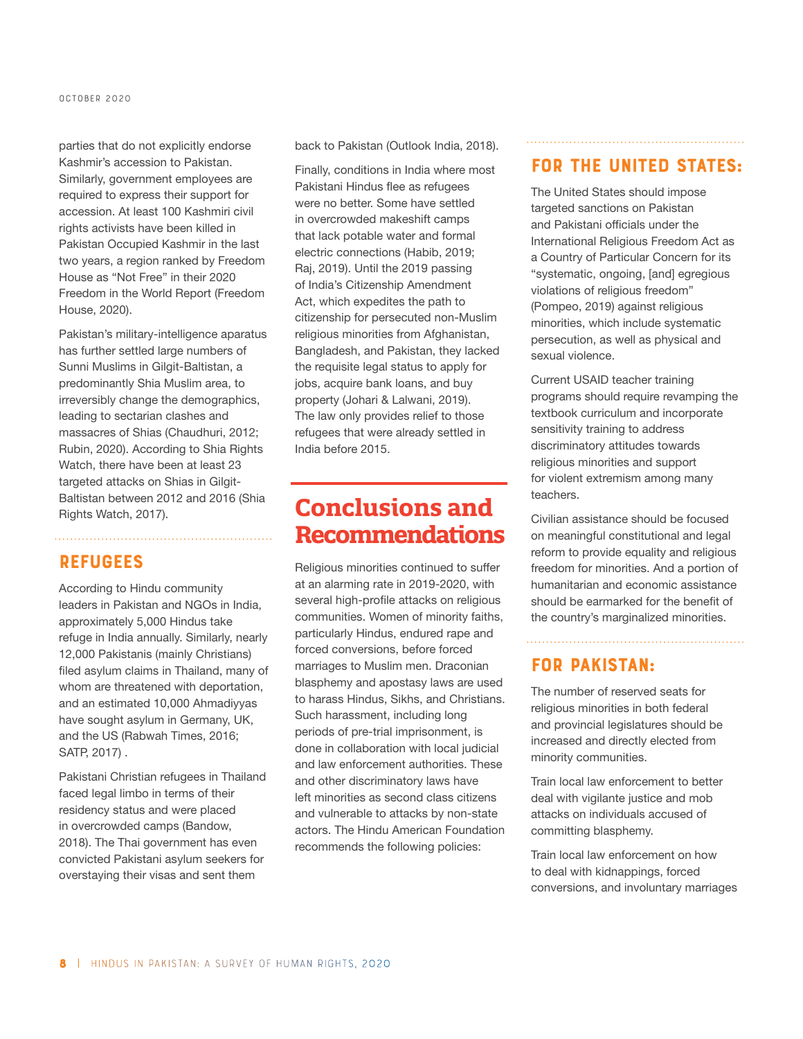parties that do not explicitly endorse Kashmir's accession to Pakistan. Similarly, government employees are required to express their support for accession. At least 100 Kashmiri civil rights activists have been killed in Pakistan Occupied Kashmir in the last two years, a region ranked by Freedom House as "Not Free" in their 2020 Freedom in the World Report (Freedom House, 2020).

Pakistan's military-intelligence aparatus has further settled large numbers of Sunni Muslims in Gilgit-Baltistan, a predominantly Shia Muslim area, to irreversibly change the demographics, leading to sectarian clashes and massacres of Shias (Chaudhuri, 2012; Rubin, 2020). According to Shia Rights Watch, there have been at least 23 targeted attacks on Shias in Gilgit-Baltistan between 2012 and 2016 (Shia Rights Watch, 2017).

#### **REFUGEES**

According to Hindu community leaders in Pakistan and NGOs in India, approximately 5,000 Hindus take refuge in India annually. Similarly, nearly 12,000 Pakistanis (mainly Christians) filed asylum claims in Thailand, many of whom are threatened with deportation, and an estimated 10,000 Ahmadiyyas have sought asylum in Germany, UK, and the US (Rabwah Times, 2016; SATP, 2017) .

Pakistani Christian refugees in Thailand faced legal limbo in terms of their residency status and were placed in overcrowded camps (Bandow, 2018). The Thai government has even convicted Pakistani asylum seekers for overstaying their visas and sent them

back to Pakistan (Outlook India, 2018).

Finally, conditions in India where most Pakistani Hindus flee as refugees were no better. Some have settled in overcrowded makeshift camps that lack potable water and formal electric connections (Habib, 2019; Raj, 2019). Until the 2019 passing of India's Citizenship Amendment Act, which expedites the path to citizenship for persecuted non-Muslim religious minorities from Afghanistan, Bangladesh, and Pakistan, they lacked the requisite legal status to apply for jobs, acquire bank loans, and buy property (Johari & Lalwani, 2019). The law only provides relief to those refugees that were already settled in India before 2015.

# **Conclusions and Recommendations**

Religious minorities continued to suffer at an alarming rate in 2019-2020, with several high-profile attacks on religious communities. Women of minority faiths, particularly Hindus, endured rape and forced conversions, before forced marriages to Muslim men. Draconian blasphemy and apostasy laws are used to harass Hindus, Sikhs, and Christians. Such harassment, including long periods of pre-trial imprisonment, is done in collaboration with local judicial and law enforcement authorities. These and other discriminatory laws have left minorities as second class citizens and vulnerable to attacks by non-state actors. The Hindu American Foundation recommends the following policies:

### For the United States:

The United States should impose targeted sanctions on Pakistan and Pakistani officials under the International Religious Freedom Act as a Country of Particular Concern for its "systematic, ongoing, [and] egregious violations of religious freedom" (Pompeo, 2019) against religious minorities, which include systematic persecution, as well as physical and sexual violence.

Current USAID teacher training programs should require revamping the textbook curriculum and incorporate sensitivity training to address discriminatory attitudes towards religious minorities and support for violent extremism among many teachers.

Civilian assistance should be focused on meaningful constitutional and legal reform to provide equality and religious freedom for minorities. And a portion of humanitarian and economic assistance should be earmarked for the benefit of the country's marginalized minorities.

## For Pakistan:

The number of reserved seats for religious minorities in both federal and provincial legislatures should be increased and directly elected from minority communities.

Train local law enforcement to better deal with vigilante justice and mob attacks on individuals accused of committing blasphemy.

Train local law enforcement on how to deal with kidnappings, forced conversions, and involuntary marriages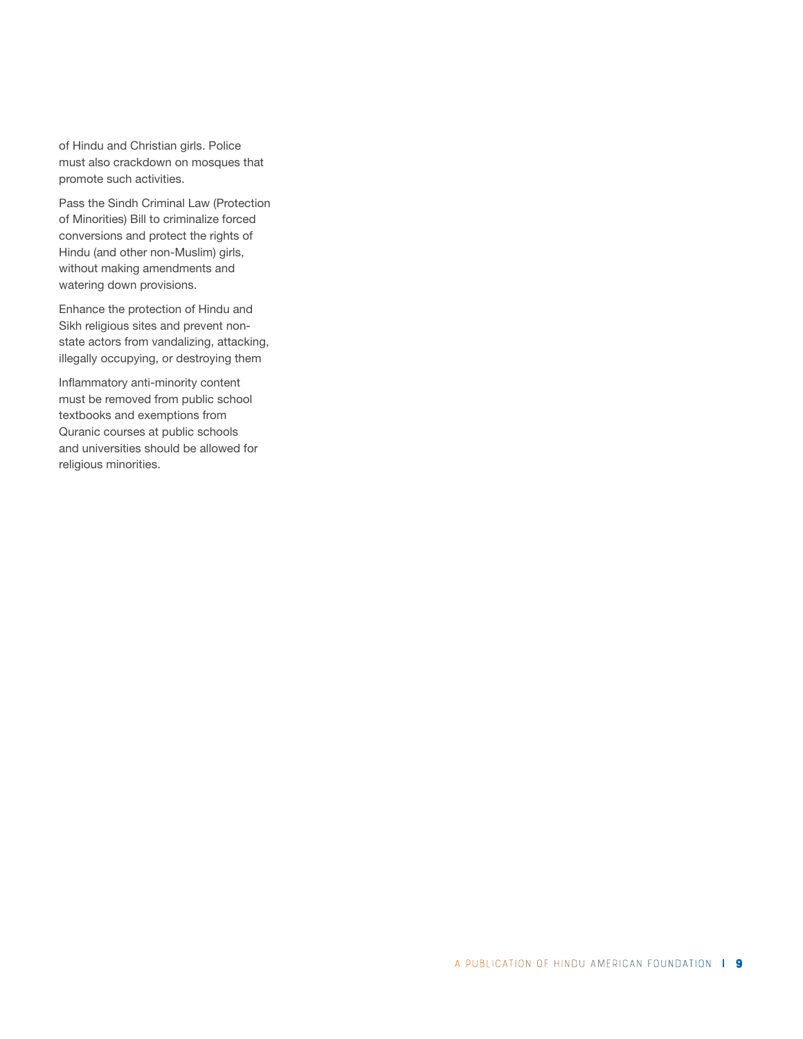of Hindu and Christian girls. Police must also crackdown on mosques that promote such activities.

Pass the Sindh Criminal Law (Protection of Minorities) Bill to criminalize forced conversions and protect the rights of Hindu (and other non-Muslim) girls, without making amendments and watering down provisions.

Enhance the protection of Hindu and Sikh religious sites and prevent nonstate actors from vandalizing, attacking, illegally occupying, or destroying them

Inflammatory anti-minority content must be removed from public school textbooks and exemptions from Quranic courses at public schools and universities should be allowed for religious minorities.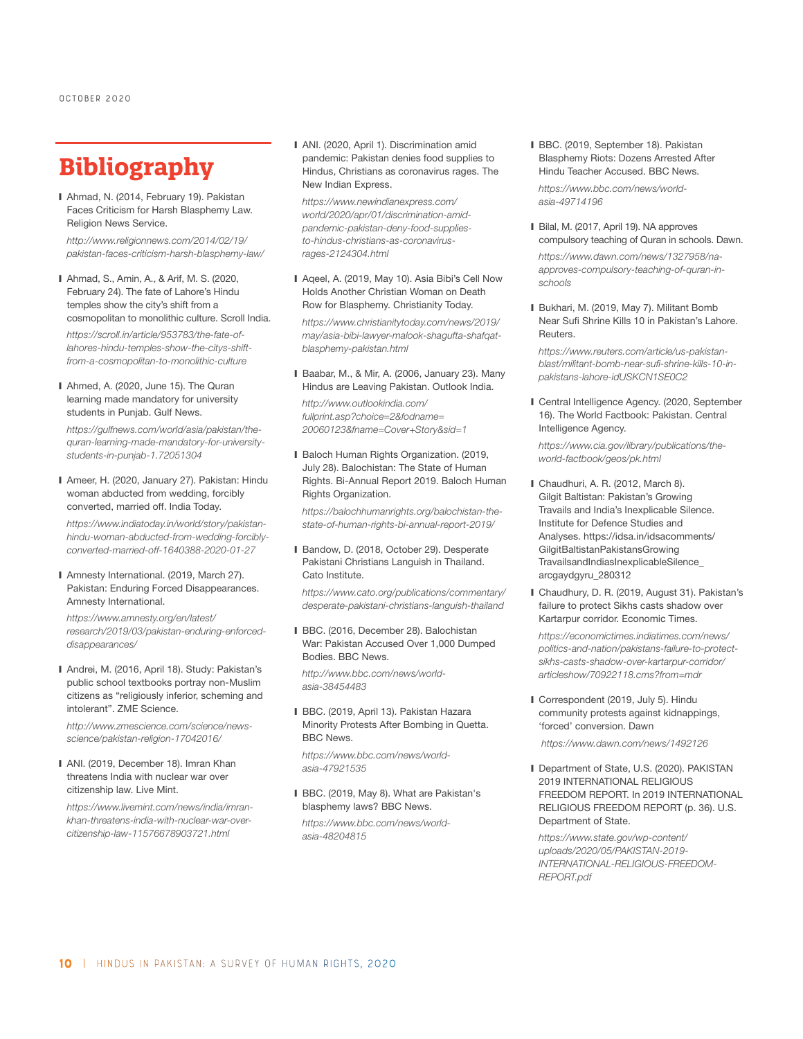# **Bibliography**

■ Ahmad, N. (2014, February 19). Pakistan Faces Criticism for Harsh Blasphemy Law. Religion News Service.

*http://www.religionnews.com/2014/02/19/ pakistan-faces-criticism-harsh-blasphemy-law/* 

- Ahmad, S., Amin, A., & Arif, M. S. (2020, February 24). The fate of Lahore's Hindu temples show the city's shift from a cosmopolitan to monolithic culture. Scroll India. *https://scroll.in/article/953783/the-fate-oflahores-hindu-temples-show-the-citys-shift-*
- Ahmed, A. (2020, June 15). The Quran learning made mandatory for university students in Punjab. Gulf News.

*from-a-cosmopolitan-to-monolithic-culture* 

*https://gulfnews.com/world/asia/pakistan/thequran-learning-made-mandatory-for-universitystudents-in-punjab-1.72051304* 

■ Ameer, H. (2020, January 27). Pakistan: Hindu woman abducted from wedding, forcibly converted, married off. India Today.

*https://www.indiatoday.in/world/story/pakistanhindu-woman-abducted-from-wedding-forciblyconverted-married-off-1640388-2020-01-27* 

■ Amnesty International. (2019, March 27). Pakistan: Enduring Forced Disappearances. Amnesty International.

*https://www.amnesty.org/en/latest/ research/2019/03/pakistan-enduring-enforceddisappearances/*

■ Andrei, M. (2016, April 18). Study: Pakistan's public school textbooks portray non-Muslim citizens as "religiously inferior, scheming and intolerant". ZME Science.

*http://www.zmescience.com/science/newsscience/pakistan-religion-17042016/*

❙ ANI. (2019, December 18). Imran Khan threatens India with nuclear war over citizenship law. Live Mint.

*https://www.livemint.com/news/india/imrankhan-threatens-india-with-nuclear-war-overcitizenship-law-11576678903721.html*

■ ANI. (2020, April 1). Discrimination amid pandemic: Pakistan denies food supplies to Hindus, Christians as coronavirus rages. The New Indian Express.

*https://www.newindianexpress.com/ world/2020/apr/01/discrimination-amidpandemic-pakistan-deny-food-suppliesto-hindus-christians-as-coronavirusrages-2124304.html*

■ Aqeel, A. (2019, May 10). Asia Bibi's Cell Now Holds Another Christian Woman on Death Row for Blasphemy. Christianity Today.

*https://www.christianitytoday.com/news/2019/ may/asia-bibi-lawyer-malook-shagufta-shafqatblasphemy-pakistan.html*

❙ Baabar, M., & Mir, A. (2006, January 23). Many Hindus are Leaving Pakistan. Outlook India.

*http://www.outlookindia.com/ fullprint.asp?choice=2&fodname= 20060123&fname=Cover+Story&sid=1*

■ Baloch Human Rights Organization. (2019, July 28). Balochistan: The State of Human Rights. Bi-Annual Report 2019. Baloch Human Rights Organization.

*https://balochhumanrights.org/balochistan-thestate-of-human-rights-bi-annual-report-2019/*

■ Bandow, D. (2018, October 29). Desperate Pakistani Christians Languish in Thailand. Cato Institute.

*https://www.cato.org/publications/commentary/ desperate-pakistani-christians-languish-thailand* 

■ BBC. (2016, December 28). Balochistan War: Pakistan Accused Over 1,000 Dumped Bodies. BBC News.

*http://www.bbc.com/news/worldasia-38454483*

❙ BBC. (2019, April 13). Pakistan Hazara Minority Protests After Bombing in Quetta. BBC News.

*https://www.bbc.com/news/worldasia-47921535* 

■ BBC. (2019, May 8). What are Pakistan's blasphemy laws? BBC News. *https://www.bbc.com/news/worldasia-48204815* 

❙ BBC. (2019, September 18). Pakistan Blasphemy Riots: Dozens Arrested After Hindu Teacher Accused. BBC News.

*https://www.bbc.com/news/worldasia-49714196*

■ Bilal, M. (2017, April 19). NA approves compulsory teaching of Quran in schools. Dawn. *https://www.dawn.com/news/1327958/na-*

*approves-compulsory-teaching-of-quran-inschools*

■ Bukhari, M. (2019, May 7). Militant Bomb Near Sufi Shrine Kills 10 in Pakistan's Lahore. Reuters.

*https://www.reuters.com/article/us-pakistanblast/militant-bomb-near-sufi-shrine-kills-10-inpakistans-lahore-idUSKCN1SE0C2*

■ Central Intelligence Agency. (2020, September 16). The World Factbook: Pakistan. Central Intelligence Agency.

*https://www.cia.gov/library/publications/theworld-factbook/geos/pk.html*

- ❙ Chaudhuri, A. R. (2012, March 8). Gilgit Baltistan: Pakistan's Growing Travails and India's Inexplicable Silence. Institute for Defence Studies and Analyses. https://idsa.in/idsacomments/ GilgitBaltistanPakistansGrowing TravailsandIndiasInexplicableSilence\_ arcgaydgyru\_280312
- Chaudhury, D. R. (2019, August 31). Pakistan's failure to protect Sikhs casts shadow over Kartarpur corridor. Economic Times.

*https://economictimes.indiatimes.com/news/ politics-and-nation/pakistans-failure-to-protectsikhs-casts-shadow-over-kartarpur-corridor/ articleshow/70922118.cms?from=mdr*

■ Correspondent (2019, July 5). Hindu community protests against kidnappings, 'forced' conversion. Dawn

 *https://www.dawn.com/news/1492126*

■ Department of State, U.S. (2020). PAKISTAN 2019 INTERNATIONAL RELIGIOUS FREEDOM REPORT. In 2019 INTERNATIONAL RELIGIOUS FREEDOM REPORT (p. 36). U.S. Department of State.

*https://www.state.gov/wp-content/ uploads/2020/05/PAKISTAN-2019- INTERNATIONAL-RELIGIOUS-FREEDOM-REPORT.pdf*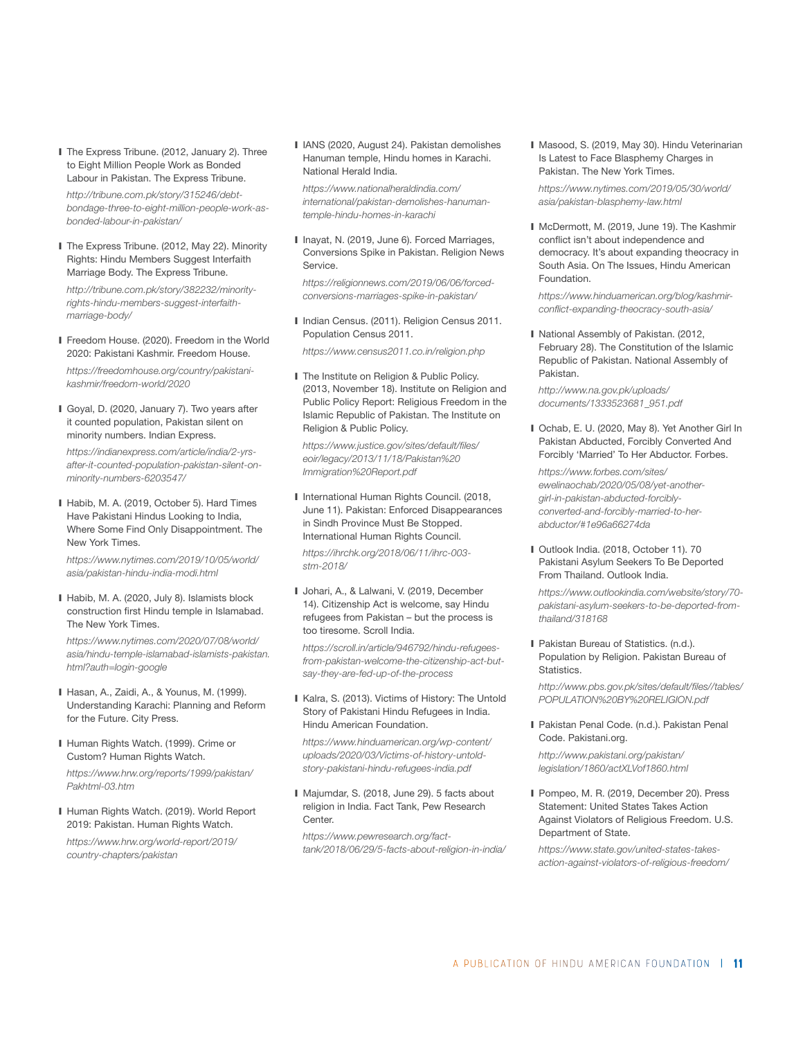■ The Express Tribune. (2012, January 2). Three to Eight Million People Work as Bonded Labour in Pakistan. The Express Tribune.

*http://tribune.com.pk/story/315246/debtbondage-three-to-eight-million-people-work-asbonded-labour-in-pakistan/*

■ The Express Tribune. (2012, May 22). Minority Rights: Hindu Members Suggest Interfaith Marriage Body. The Express Tribune.

*http://tribune.com.pk/story/382232/minorityrights-hindu-members-suggest-interfaithmarriage-body/* 

■ Freedom House. (2020). Freedom in the World 2020: Pakistani Kashmir. Freedom House.

*https://freedomhouse.org/country/pakistanikashmir/freedom-world/2020* 

❙ Goyal, D. (2020, January 7). Two years after it counted population, Pakistan silent on minority numbers. Indian Express.

*https://indianexpress.com/article/india/2-yrsafter-it-counted-population-pakistan-silent-onminority-numbers-6203547/* 

■ Habib, M. A. (2019, October 5). Hard Times Have Pakistani Hindus Looking to India, Where Some Find Only Disappointment. The New York Times.

*https://www.nytimes.com/2019/10/05/world/ asia/pakistan-hindu-india-modi.html* 

■ Habib, M. A. (2020, July 8). Islamists block construction first Hindu temple in Islamabad. The New York Times.

*https://www.nytimes.com/2020/07/08/world/ asia/hindu-temple-islamabad-islamists-pakistan. html?auth=login-google* 

- ❙ Hasan, A., Zaidi, A., & Younus, M. (1999). Understanding Karachi: Planning and Reform for the Future. City Press.
- Human Rights Watch. (1999). Crime or Custom? Human Rights Watch.

*https://www.hrw.org/reports/1999/pakistan/ Pakhtml-03.htm*

■ Human Rights Watch. (2019). World Report 2019: Pakistan. Human Rights Watch.

*https://www.hrw.org/world-report/2019/ country-chapters/pakistan*

■ IANS (2020, August 24). Pakistan demolishes Hanuman temple, Hindu homes in Karachi. National Herald India.

*https://www.nationalheraldindia.com/ international/pakistan-demolishes-hanumantemple-hindu-homes-in-karachi* 

❙ Inayat, N. (2019, June 6). Forced Marriages, Conversions Spike in Pakistan. Religion News Service.

*https://religionnews.com/2019/06/06/forcedconversions-marriages-spike-in-pakistan/*

■ Indian Census. (2011). Religion Census 2011. Population Census 2011.

*https://www.census2011.co.in/religion.php*

■ The Institute on Religion & Public Policy. (2013, November 18). Institute on Religion and Public Policy Report: Religious Freedom in the Islamic Republic of Pakistan. The Institute on Religion & Public Policy.

*https://www.justice.gov/sites/default/files/ eoir/legacy/2013/11/18/Pakistan%20 Immigration%20Report.pdf*

■ International Human Rights Council. (2018, June 11). Pakistan: Enforced Disappearances in Sindh Province Must Be Stopped. International Human Rights Council.

*https://ihrchk.org/2018/06/11/ihrc-003 stm-2018/*

❙ Johari, A., & Lalwani, V. (2019, December 14). Citizenship Act is welcome, say Hindu refugees from Pakistan – but the process is too tiresome. Scroll India.

*https://scroll.in/article/946792/hindu-refugeesfrom-pakistan-welcome-the-citizenship-act-butsay-they-are-fed-up-of-the-process* 

■ Kalra, S. (2013). Victims of History: The Untold Story of Pakistani Hindu Refugees in India. Hindu American Foundation.

*https://www.hinduamerican.org/wp-content/ uploads/2020/03/Victims-of-history-untoldstory-pakistani-hindu-refugees-india.pdf*

■ Majumdar, S. (2018, June 29). 5 facts about religion in India. Fact Tank, Pew Research Center.

*https://www.pewresearch.org/facttank/2018/06/29/5-facts-about-religion-in-india/* ■ Masood, S. (2019, May 30). Hindu Veterinarian Is Latest to Face Blasphemy Charges in Pakistan. The New York Times.

*https://www.nytimes.com/2019/05/30/world/ asia/pakistan-blasphemy-law.html*

■ McDermott, M. (2019, June 19). The Kashmir conflict isn't about independence and democracy. It's about expanding theocracy in South Asia. On The Issues, Hindu American Foundation.

*https://www.hinduamerican.org/blog/kashmirconflict-expanding-theocracy-south-asia/*

■ National Assembly of Pakistan. (2012, February 28). The Constitution of the Islamic Republic of Pakistan. National Assembly of Pakistan.

*http://www.na.gov.pk/uploads/ documents/1333523681\_951.pdf*

■ Ochab, E. U. (2020, May 8). Yet Another Girl In Pakistan Abducted, Forcibly Converted And Forcibly 'Married' To Her Abductor. Forbes.

*https://www.forbes.com/sites/ ewelinaochab/2020/05/08/yet-anothergirl-in-pakistan-abducted-forciblyconverted-and-forcibly-married-to-herabductor/#1e96a66274da*

❙ Outlook India. (2018, October 11). 70 Pakistani Asylum Seekers To Be Deported From Thailand. Outlook India.

*https://www.outlookindia.com/website/story/70 pakistani-asylum-seekers-to-be-deported-fromthailand/318168*

■ Pakistan Bureau of Statistics. (n.d.). Population by Religion. Pakistan Bureau of Statistics.

*http://www.pbs.gov.pk/sites/default/files//tables/ POPULATION%20BY%20RELIGION.pdf*

■ Pakistan Penal Code. (n.d.). Pakistan Penal Code. Pakistani.org.

*http://www.pakistani.org/pakistan/ legislation/1860/actXLVof1860.html*

❙ Pompeo, M. R. (2019, December 20). Press Statement: United States Takes Action Against Violators of Religious Freedom. U.S. Department of State.

*https://www.state.gov/united-states-takesaction-against-violators-of-religious-freedom/*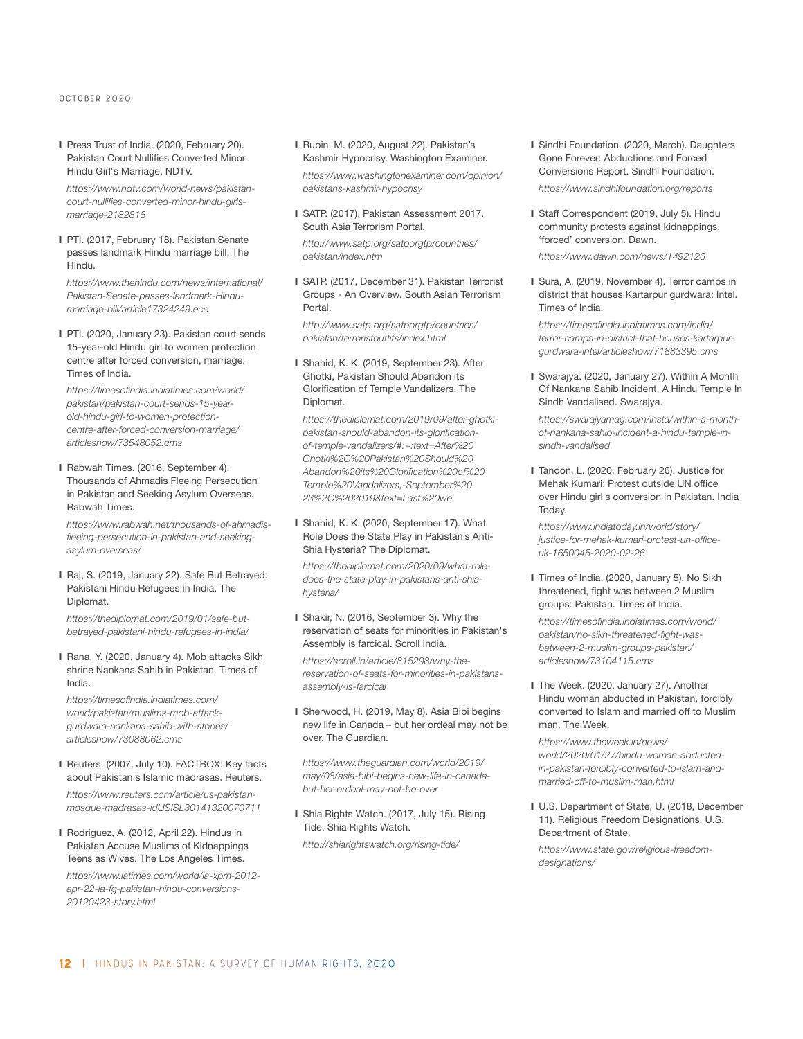❙ Press Trust of India. (2020, February 20). Pakistan Court Nullifies Converted Minor Hindu Girl's Marriage. NDTV.

*https://www.ndtv.com/world-news/pakistancourt-nullifies-converted-minor-hindu-girlsmarriage-2182816*

■ PTI. (2017, February 18). Pakistan Senate passes landmark Hindu marriage bill. The Hindu.

*https://www.thehindu.com/news/international/ Pakistan-Senate-passes-landmark-Hindumarriage-bill/article17324249.ece*

■ PTI. (2020, January 23). Pakistan court sends 15-year-old Hindu girl to women protection centre after forced conversion, marriage. Times of India.

*https://timesofindia.indiatimes.com/world/ pakistan/pakistan-court-sends-15-yearold-hindu-girl-to-women-protectioncentre-after-forced-conversion-marriage/ articleshow/73548052.cms*

■ Rabwah Times. (2016, September 4). Thousands of Ahmadis Fleeing Persecution in Pakistan and Seeking Asylum Overseas. Rabwah Times.

*https://www.rabwah.net/thousands-of-ahmadisfleeing-persecution-in-pakistan-and-seekingasylum-overseas/*

■ Raj, S. (2019, January 22). Safe But Betrayed: Pakistani Hindu Refugees in India. The Diplomat.

*https://thediplomat.com/2019/01/safe-butbetrayed-pakistani-hindu-refugees-in-india/*

■ Rana, Y. (2020, January 4). Mob attacks Sikh shrine Nankana Sahib in Pakistan. Times of India.

*https://timesofindia.indiatimes.com/ world/pakistan/muslims-mob-attackgurdwara-nankana-sahib-with-stones/ articleshow/73088062.cms*

- Reuters. (2007, July 10). FACTBOX: Key facts about Pakistan's Islamic madrasas. Reuters. *https://www.reuters.com/article/us-pakistanmosque-madrasas-idUSISL30141320070711*
- Rodriguez, A. (2012, April 22). Hindus in Pakistan Accuse Muslims of Kidnappings Teens as Wives. The Los Angeles Times.

*https://www.latimes.com/world/la-xpm-2012 apr-22-la-fg-pakistan-hindu-conversions-20120423-story.html*

- Rubin, M. (2020, August 22). Pakistan's Kashmir Hypocrisy. Washington Examiner. *https://www.washingtonexaminer.com/opinion/ pakistans-kashmir-hypocrisy*
- SATP. (2017). Pakistan Assessment 2017. South Asia Terrorism Portal.

*http://www.satp.org/satporgtp/countries/ pakistan/index.htm*

■ SATP. (2017, December 31). Pakistan Terrorist Groups - An Overview. South Asian Terrorism Portal.

*http://www.satp.org/satporgtp/countries/ pakistan/terroristoutfits/index.html*

■ Shahid, K. K. (2019, September 23). After Ghotki, Pakistan Should Abandon its Glorification of Temple Vandalizers. The Diplomat.

*https://thediplomat.com/2019/09/after-ghotkipakistan-should-abandon-its-glorificationof-temple-vandalizers/#:~:text=After%20 Ghotki%2C%20Pakistan%20Should%20 Abandon%20its%20Glorification%20of%20 Temple%20Vandalizers,-September%20 23%2C%202019&text=Last%20we* 

■ Shahid, K. K. (2020, September 17). What Role Does the State Play in Pakistan's Anti-Shia Hysteria? The Diplomat.

*https://thediplomat.com/2020/09/what-roledoes-the-state-play-in-pakistans-anti-shiahysteria/* 

■ Shakir, N. (2016, September 3). Why the reservation of seats for minorities in Pakistan's Assembly is farcical. Scroll India.

*https://scroll.in/article/815298/why-thereservation-of-seats-for-minorities-in-pakistansassembly-is-farcical* 

■ Sherwood, H. (2019, May 8). Asia Bibi begins new life in Canada – but her ordeal may not be over. The Guardian.

*https://www.theguardian.com/world/2019/ may/08/asia-bibi-begins-new-life-in-canadabut-her-ordeal-may-not-be-over*

■ Shia Rights Watch. (2017, July 15). Rising Tide. Shia Rights Watch.

*http://shiarightswatch.org/rising-tide/* 

- Sindhi Foundation. (2020, March). Daughters Gone Forever: Abductions and Forced Conversions Report. Sindhi Foundation. *https://www.sindhifoundation.org/reports*
- Staff Correspondent (2019, July 5). Hindu community protests against kidnappings, 'forced' conversion. Dawn.

*https://www.dawn.com/news/1492126* 

■ Sura, A. (2019, November 4). Terror camps in district that houses Kartarpur gurdwara: Intel. Times of India.

*https://timesofindia.indiatimes.com/india/ terror-camps-in-district-that-houses-kartarpurgurdwara-intel/articleshow/71883395.cms*

❙ Swarajya. (2020, January 27). Within A Month Of Nankana Sahib Incident, A Hindu Temple In Sindh Vandalised. Swarajya.

*https://swarajyamag.com/insta/within-a-monthof-nankana-sahib-incident-a-hindu-temple-insindh-vandalised*

■ Tandon, L. (2020, February 26). Justice for Mehak Kumari: Protest outside UN office over Hindu girl's conversion in Pakistan. India Today.

*https://www.indiatoday.in/world/story/ justice-for-mehak-kumari-protest-un-officeuk-1650045-2020-02-26*

■ Times of India. (2020, January 5). No Sikh threatened, fight was between 2 Muslim groups: Pakistan. Times of India.

*https://timesofindia.indiatimes.com/world/ pakistan/no-sikh-threatened-fight-wasbetween-2-muslim-groups-pakistan/ articleshow/73104115.cms* 

■ The Week. (2020, January 27). Another Hindu woman abducted in Pakistan, forcibly converted to Islam and married off to Muslim man. The Week.

*https://www.theweek.in/news/ world/2020/01/27/hindu-woman-abductedin-pakistan-forcibly-converted-to-islam-andmarried-off-to-muslim-man.html*

■ U.S. Department of State, U. (2018, December 11). Religious Freedom Designations. U.S. Department of State.

*https://www.state.gov/religious-freedomdesignations/*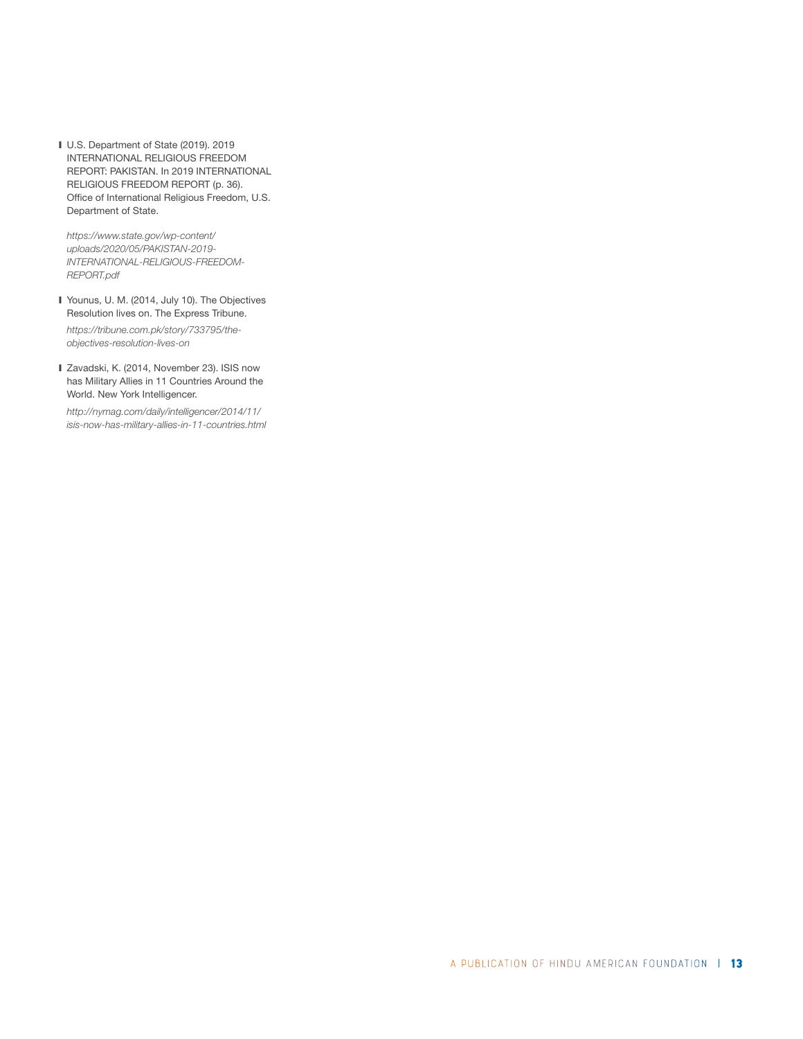❙ U.S. Department of State (2019). 2019 INTERNATIONAL RELIGIOUS FREEDOM REPORT: PAKISTAN. In 2019 INTERNATIONAL RELIGIOUS FREEDOM REPORT (p. 36). Office of International Religious Freedom, U.S. Department of State.

*https://www.state.gov/wp-content/ uploads/2020/05/PAKISTAN-2019- INTERNATIONAL-RELIGIOUS-FREEDOM-REPORT.pdf* 

■ Younus, U. M. (2014, July 10). The Objectives Resolution lives on. The Express Tribune.

*https://tribune.com.pk/story/733795/theobjectives-resolution-lives-on* 

■ Zavadski, K. (2014, November 23). ISIS now has Military Allies in 11 Countries Around the World. New York Intelligencer.

*http://nymag.com/daily/intelligencer/2014/11/ isis-now-has-military-allies-in-11-countries.html*